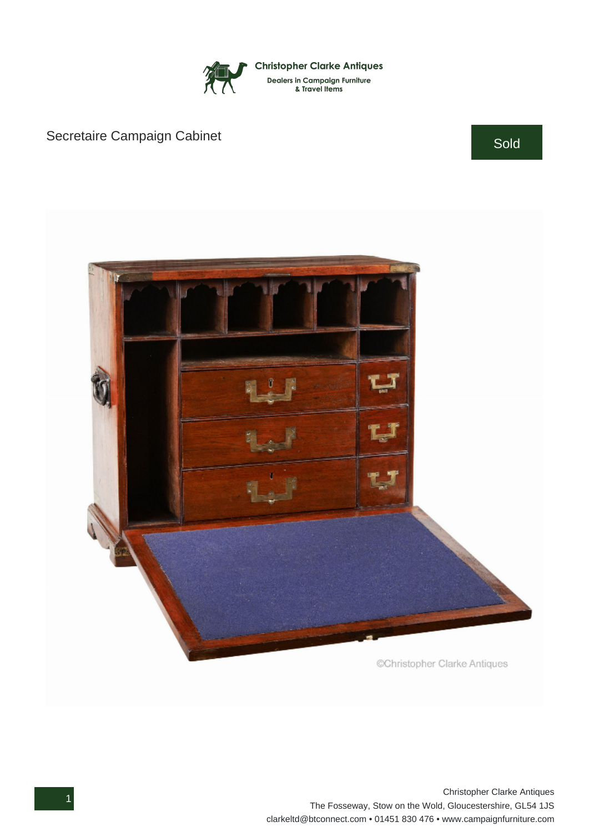

## Secretaire Campaign Cabinet Sold